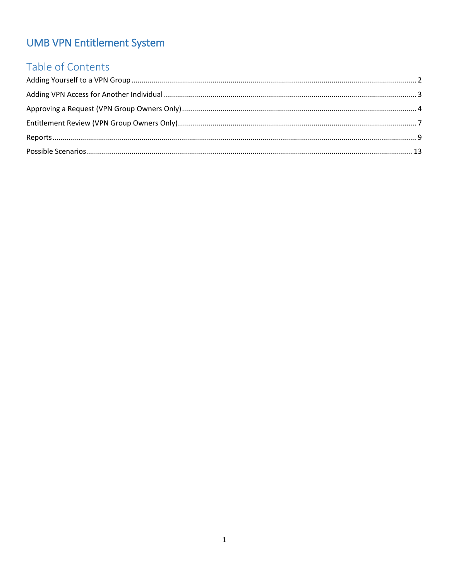# **UMB VPN Entitlement System**

# Table of Contents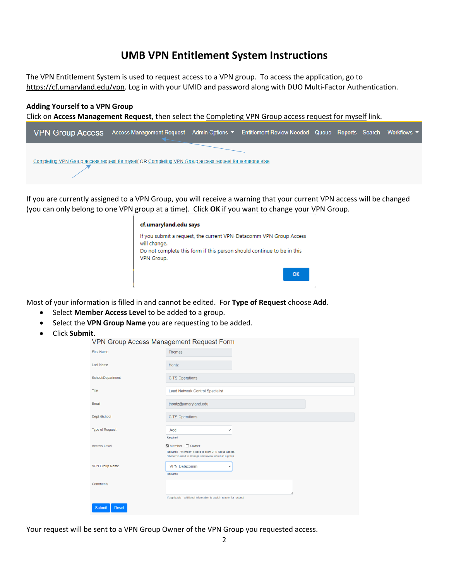## **UMB VPN Entitlement System Instructions**

The VPN Entitlement System is used to request access to a VPN group. To access the application, go to https://cf.umaryland.edu/vpn. Log in with your UMID and password along with DUO Multi-Factor Authentication.

#### **Adding Yourself to a VPN Group**

Click on **Access Management Request**, then select the Completing VPN Group access request for myself link.

| <b>VPN Group Access</b> | Access Management Request Admin Options ▼                                                              | Entitlement Review Needed Queue Reports Search |  | Workflows • |
|-------------------------|--------------------------------------------------------------------------------------------------------|------------------------------------------------|--|-------------|
|                         | Completing VPN Group access request for myself OR Completing VPN Group access request for someone else |                                                |  |             |

If you are currently assigned to a VPN Group, you will receive a warning that your current VPN access will be changed (you can only belong to one VPN group at a time). Click **OK** if you want to change your VPN Group.

#### cf.umaryland.edu says

If you submit a request, the current VPN-Datacomm VPN Group Access will change. Do not complete this form if this person should continue to be in this VPN Group.

**OK** 

Most of your information is filled in and cannot be edited. For **Type of Request** choose **Add**.

- Select **Member Access Level** to be added to a group.
- Select the **VPN Group Name** you are requesting to be added.
- Click **Submit**.

| VPN Group Access Management Request Form |                                                                                                                                      |
|------------------------------------------|--------------------------------------------------------------------------------------------------------------------------------------|
| <b>First Name</b>                        | Thomas                                                                                                                               |
| Last Name                                | Hontz                                                                                                                                |
| School/Department                        | <b>CITS Operations</b>                                                                                                               |
| Title                                    | <b>Lead Network Control Specialist</b>                                                                                               |
| Email                                    | thontz@umaryland.edu                                                                                                                 |
| Dept./School                             | <b>CITS Operations</b>                                                                                                               |
| <b>Type of Request</b>                   | Add<br>$\check{ }$<br>Required                                                                                                       |
| <b>Access Level</b>                      | Member<br>Owner<br>Required - "Member" is used to grant VPN Group access.<br>"Owner" is used to manage and review who is in a group. |
| <b>VPN Group Name</b>                    | VPN-Datacomm<br>$\checkmark$<br>Required                                                                                             |
| Comments                                 |                                                                                                                                      |
|                                          | If applicable - additional information to explain reason for request                                                                 |
| Submit<br><b>Reset</b>                   |                                                                                                                                      |

Your request will be sent to a VPN Group Owner of the VPN Group you requested access.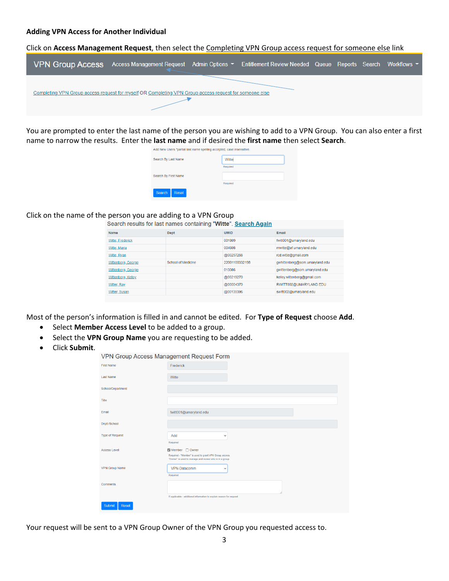#### **Adding VPN Access for Another Individual**

Click on **Access Management Request**, then select the [Completing VPN Group access request for someone else](https://cf.umaryland.edu/vpn/getUserInfo.cfm?view=find) link

| <b>VPN Group Access</b> | Access Management Request Admin Options ▼ Entitlement Review Needed Queue Reports Search Workflows ▼   |  |  |  |
|-------------------------|--------------------------------------------------------------------------------------------------------|--|--|--|
|                         | Completing VPN Group access request for myself OR Completing VPN Group access request for someone else |  |  |  |

You are prompted to enter the last name of the person you are wishing to add to a VPN Group. You can also enter a first name to narrow the results. Enter the **last name** and if desired the **first name** then select **Search**.

| Add New Users *partial last name spelling accepted, case insensitive. |                      |          |  |  |
|-----------------------------------------------------------------------|----------------------|----------|--|--|
|                                                                       | Search By Last Name  | Wittel   |  |  |
|                                                                       |                      | Required |  |  |
|                                                                       | Search By First Name |          |  |  |
|                                                                       |                      | Required |  |  |
|                                                                       | Search<br>Reset      |          |  |  |

#### Click on the name of the person you are adding to a VPN Group

| Search results for last names containing "Witte". Search Again |                    |                |                                |  |  |  |  |  |
|----------------------------------------------------------------|--------------------|----------------|--------------------------------|--|--|--|--|--|
| Name                                                           | <b>Dept</b>        | <b>UMID</b>    | Email                          |  |  |  |  |  |
| Witte, Frederick                                               |                    | 001809         | fwitt001@umaryland.edu         |  |  |  |  |  |
| Witte, Maria                                                   |                    | 004608         | mwitte@af.umaryland.edu        |  |  |  |  |  |
| Witte, Ryan                                                    |                    | @00297288      | rcd.witte@gmail.com            |  |  |  |  |  |
| Wittenberg, George                                             | School of Medicine | 22001100332198 | awhittenberg@som.umaryland.edu |  |  |  |  |  |
| Wittenberg, George                                             |                    | 013386         | qwittenberg@som.umaryland.edu  |  |  |  |  |  |
| Wittenberg, Kelley                                             |                    | @00219270      | kelley.wittenberg@gmail.com    |  |  |  |  |  |
| Witter, Ray                                                    |                    | @00004370      | RWITT002@UMARYLAND.EDU         |  |  |  |  |  |
| Witter, Susan                                                  |                    | @00135396      | switt002@umaryland.edu         |  |  |  |  |  |

Most of the person's information is filled in and cannot be edited. For **Type of Request** choose **Add**.

- Select **Member Access Level** to be added to a group.
- Select the **VPN Group Name** you are requesting to be added.
- Click **Submit**.

| VPN Group Access Management Request Form |                                                                                                                                               |
|------------------------------------------|-----------------------------------------------------------------------------------------------------------------------------------------------|
| <b>First Name</b>                        | Frederick                                                                                                                                     |
| <b>Last Name</b>                         | Witte                                                                                                                                         |
| School/Department                        |                                                                                                                                               |
| Title                                    |                                                                                                                                               |
| Email                                    | fwitt001@umaryland.edu                                                                                                                        |
| Dept./School                             |                                                                                                                                               |
| <b>Type of Request</b>                   | Add<br>$\checkmark$                                                                                                                           |
| <b>Access Level</b>                      | Required<br>Member Owner<br>Required - "Member" is used to grant VPN Group access.<br>"Owner" is used to manage and review who is in a group. |
| <b>VPN Group Name</b>                    | VPN-Datacomm<br>$\checkmark$                                                                                                                  |
| Comments                                 | Required                                                                                                                                      |
|                                          | If applicable - additional information to explain reason for request                                                                          |
| Submit<br><b>Reset</b>                   |                                                                                                                                               |

Your request will be sent to a VPN Group Owner of the VPN Group you requested access to.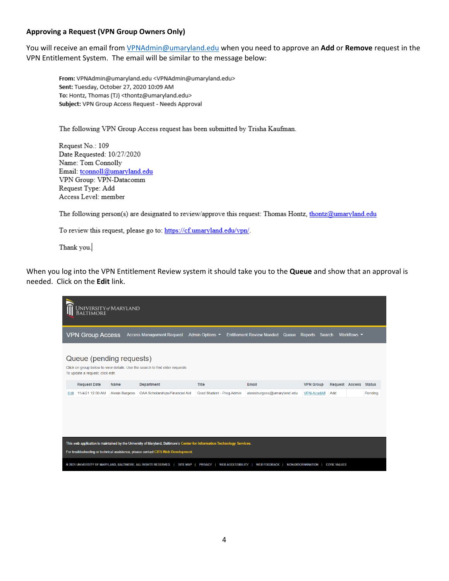#### **Approving a Request (VPN Group Owners Only)**

You will receive an email from [VPNAdmin@umaryland.edu](mailto:VPNAdmin@umaryland.edu) when you need to approve an **Add** or **Remove** request in the VPN Entitlement System. The email will be similar to the message below:

From: VPNAdmin@umaryland.edu <VPNAdmin@umaryland.edu> Sent: Tuesday, October 27, 2020 10:09 AM To: Hontz, Thomas (TJ) <thontz@umaryland.edu> Subject: VPN Group Access Request - Needs Approval

The following VPN Group Access request has been submitted by Trisha Kaufman.

Request No.: 109 Date Requested: 10/27/2020 Name: Tom Connolly Email: tconnoll@umaryland.edu VPN Group: VPN-Datacomm Request Type: Add Access Level: member

The following person(s) are designated to review/approve this request: Thomas Hontz, thontz@umaryland.edu

To review this request, please go to: https://cf.umaryland.edu/vpn/.

Thank you.

When you log into the VPN Entitlement Review system it should take you to the **Queue** and show that an approval is needed. Click on the **Edit** link.

|      | NIVERSITY of MARYLAND<br>Baltimore                                                                                                                                                                          |                       |                                                                                                                           |                           |                                           |                    |                |             |               |  |
|------|-------------------------------------------------------------------------------------------------------------------------------------------------------------------------------------------------------------|-----------------------|---------------------------------------------------------------------------------------------------------------------------|---------------------------|-------------------------------------------|--------------------|----------------|-------------|---------------|--|
|      | <b>VPN Group Access</b>                                                                                                                                                                                     |                       | <b>Access Management Request</b>                                                                                          | Admin Options -           | <b>Entitlement Review Needed</b><br>Queue | Reports Search     |                | Workflows - |               |  |
|      | Queue (pending requests)<br>Click on group below to view details. Use the search to find older requests.<br>To update a request, click edit.                                                                |                       |                                                                                                                           |                           |                                           |                    |                |             |               |  |
|      | <b>Request Date</b>                                                                                                                                                                                         | Name                  | <b>Department</b>                                                                                                         | Title                     | Email                                     | <b>VPN Group</b>   | Request Access |             | <b>Status</b> |  |
| Edit | 11/4/21 12:00 AM                                                                                                                                                                                            | <b>Alexis Burgess</b> | OAA Scholarships/Financial Aid                                                                                            | Grad Student - Prog Admin | alexisburgess@umaryland.edu               | <b>VPN-AcadAff</b> | Add            |             | Pending       |  |
|      |                                                                                                                                                                                                             |                       |                                                                                                                           |                           |                                           |                    |                |             |               |  |
|      |                                                                                                                                                                                                             |                       | This web application is maintained by the University of Maryland, Baltimore's Center for Information Technology Services. |                           |                                           |                    |                |             |               |  |
|      | For troubleshooting or technical assistance, please contact CITS Web Development.                                                                                                                           |                       |                                                                                                                           |                           |                                           |                    |                |             |               |  |
|      | @ 2021 UNIVERSITY OF MARYLAND, BALTIMORE. ALL RIGHTS RESERVED.  <br><b>SITE MAP</b><br><b>WEB FEEDBACK</b><br><b>NON-DISCRIMINATION</b><br><b>CORE VALUES</b><br><b>PRIVACY</b><br><b>WEB ACCESSIBILITY</b> |                       |                                                                                                                           |                           |                                           |                    |                |             |               |  |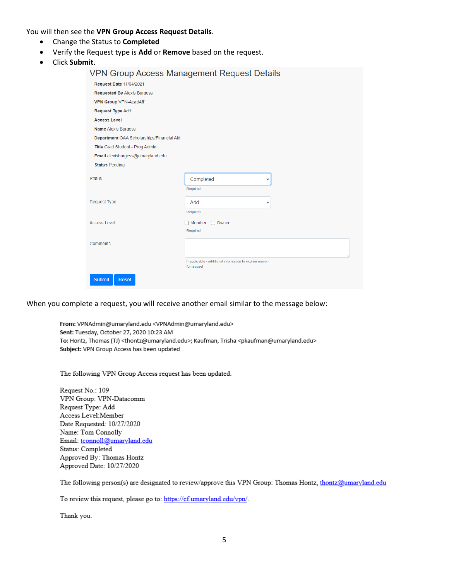You will then see the **VPN Group Access Request Details**.

- Change the Status to **Completed**
- Verify the Request type is **Add** or **Remove** based on the request.
- Click **Submit**.

|                                           | VPN Group Access Management Request Details                             |
|-------------------------------------------|-------------------------------------------------------------------------|
| <b>Request Date 11/04/2021</b>            |                                                                         |
| <b>Requested By Alexis Burgess</b>        |                                                                         |
| <b>VPN Group VPN-AcadAff</b>              |                                                                         |
| Request Type Add                          |                                                                         |
| <b>Access Level</b>                       |                                                                         |
| <b>Name Alexis Burgess</b>                |                                                                         |
| Department OAA Scholarships/Financial Aid |                                                                         |
| Title Grad Student - Prog Admin           |                                                                         |
| Email alexisburgess@umaryland.edu         |                                                                         |
| <b>Status Pending</b>                     |                                                                         |
| <b>Status</b>                             | Completed<br>◡                                                          |
|                                           | Required                                                                |
| <b>Request Type</b>                       | Add<br>$\checkmark$                                                     |
|                                           | Required                                                                |
| <b>Access Level</b>                       | $\Box$ Member<br>$\Box$ Owner                                           |
|                                           | Required                                                                |
| Comments                                  |                                                                         |
|                                           |                                                                         |
|                                           | If applicable - additional information to explain reason<br>for request |
| Submit<br><b>Reset</b>                    |                                                                         |

When you complete a request, you will receive another email similar to the message below:

From: VPNAdmin@umaryland.edu <VPNAdmin@umaryland.edu> Sent: Tuesday, October 27, 2020 10:23 AM To: Hontz, Thomas (TJ) <thontz@umaryland.edu>; Kaufman, Trisha <pkaufman@umaryland.edu> Subject: VPN Group Access has been updated

The following VPN Group Access request has been updated.

Request No.: 109 VPN Group: VPN-Datacomm Request Type: Add Access Level: Member Date Requested: 10/27/2020 Name: Tom Connolly Email: tconnoll@umaryland.edu Status: Completed Approved By: Thomas Hontz Approved Date: 10/27/2020

The following person(s) are designated to review/approve this VPN Group: Thomas Hontz, thontz@umaryland.edu

To review this request, please go to: https://cf.umaryland.edu/vpn/.

Thank you.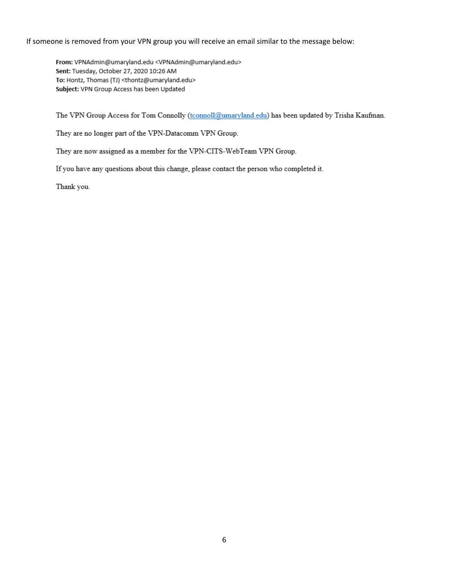If someone is removed from your VPN group you will receive an email similar to the message below:

From: VPNAdmin@umaryland.edu <VPNAdmin@umaryland.edu> Sent: Tuesday, October 27, 2020 10:26 AM To: Hontz, Thomas (TJ) <thontz@umaryland.edu> Subject: VPN Group Access has been Updated

The VPN Group Access for Tom Connolly (tconnoll@umaryland.edu) has been updated by Trisha Kaufman.

They are no longer part of the VPN-Datacomm VPN Group.

They are now assigned as a member for the VPN-CITS-WebTeam VPN Group.

If you have any questions about this change, please contact the person who completed it.

Thank you.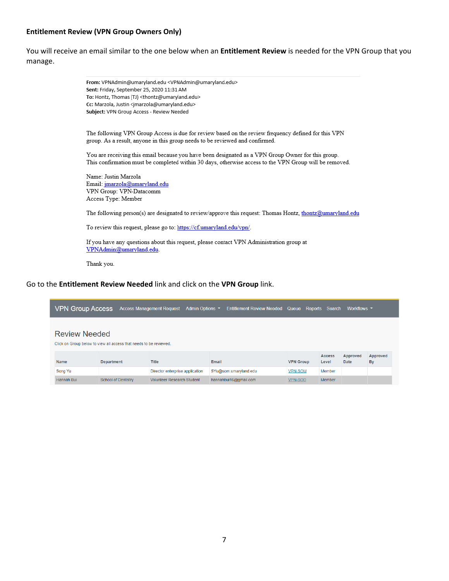#### **Entitlement Review (VPN Group Owners Only)**

You will receive an email similar to the one below when an **Entitlement Review** is needed for the VPN Group that you manage.



### Go to the **Entitlement Review Needed** link and click on the **VPN Group** link.

| <b>VPN Group Access</b> |                                                                    | <b>Access Management Request</b>  | Admin Options $\sim$ | <b>Entitlement Review Needed Queue</b> |                  | Reports Search         | Workflows •      |                |
|-------------------------|--------------------------------------------------------------------|-----------------------------------|----------------------|----------------------------------------|------------------|------------------------|------------------|----------------|
| Review Needed           | Click on Group below to view all access that needs to be reviewed. |                                   |                      |                                        |                  |                        |                  |                |
| <b>Name</b>             | Department                                                         | <b>Title</b>                      | Email                |                                        | <b>VPN Group</b> | <b>Access</b><br>Level | Approved<br>Date | Approved<br>By |
| Song Yu                 |                                                                    | Director enterprise application   |                      | SYu@som.umarvland.edu                  | <b>VPN-SOM</b>   | Member                 |                  |                |
| <b>Hannah Bui</b>       | <b>School of Dentistry</b>                                         | <b>Volunteer Research Student</b> |                      | hannahbui16@gmail.com                  | <b>VPN-SOD</b>   | Member                 |                  |                |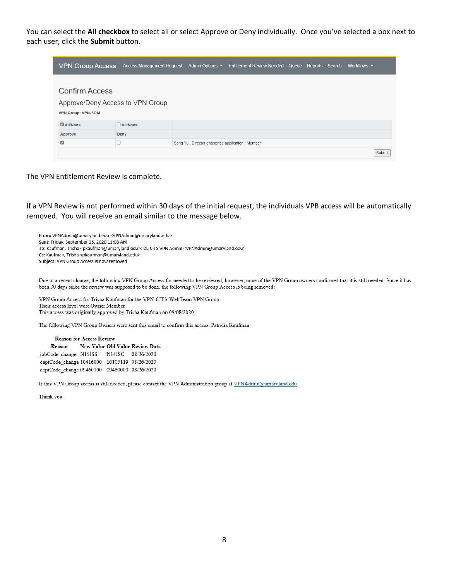You can select the **All checkbox** to select all or select Approve or Deny individually. Once you've selected a box next to each user, click the **Submit** button.

| <b>VPN Group Access</b>                                                                |                 | Access Management Request Admin Options $\sim$   | Entitlement Review Needed Queue Reports Search Workflows ▼ |  |        |
|----------------------------------------------------------------------------------------|-----------------|--------------------------------------------------|------------------------------------------------------------|--|--------|
| <b>Confirm Access</b><br>Approve/Deny Access to VPN Group<br><b>VPN Group: VPN-SOM</b> |                 |                                                  |                                                            |  |        |
| <b>Z</b> All/None                                                                      | $\Box$ All/None |                                                  |                                                            |  |        |
| Approve                                                                                | Deny            |                                                  |                                                            |  |        |
| ☑                                                                                      |                 | Song Yu, Director enterprise application: Member |                                                            |  |        |
|                                                                                        |                 |                                                  |                                                            |  | Submit |

The VPN Entitlement Review is complete.

If a VPN Review is not performed within 30 days of the initial request, the individuals VPB access will be automatically removed. You will receive an email similar to the message below.

From: VPNAdmin@umaryland.edu <VPNAdmin@umaryland.edu> Sent: Friday, September 25, 2020 11:08 AM To: Kaufman, Trisha <pkaufman@umaryland.edu>; DL-CITS VPN Admin <VPNAdmin@umaryland.edu> Cc: Kaufman, Trisha <pkaufman@umaryland.edu> Subject: VPN Group Access is now removed

Due to a recent change, the following VPN Group Access for needed to be reviewed; however, none of the VPN Group owners confirmed that it is still needed. Since it has been 30 days since the review was supposed to be done, the following VPN Group Access is being removed:

VPN Group Access for Trisha Kaufman for the VPN-CITS-WebTeam VPN Group. Their access level was: Owner Member This access was originally approved by Trisha Kaufman on 09/08/2020

The following VPN Group Owners were sent this email to confirm this access: Patricia Kaufman

**Reason for Access Review** Reason New Value Old Value Review Date jobCode\_change N15ISS N14ISC 08/26/2020 deptCode\_change 10416000 10105119 08/26/2020 deptCode\_change 09460100 09460000 08/26/2020

If this VPN Group access is still needed, please contact the VPN Administration group at VPNAdmin@umaryland.edu

Thank you.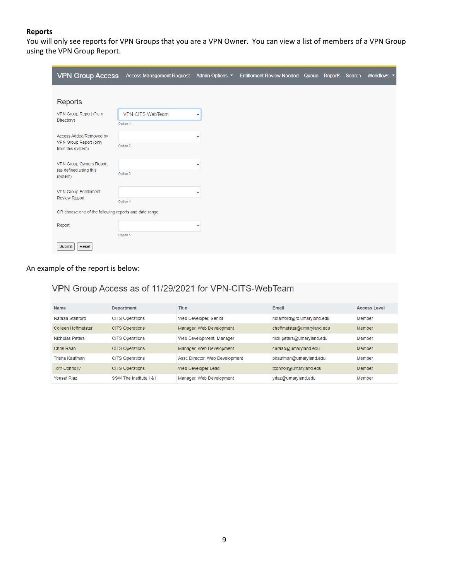#### **Reports**

You will only see reports for VPN Groups that you are a VPN Owner. You can view a list of members of a VPN Group using the VPN Group Report.

| <b>VPN Group Access</b>                                | <b>Access Management Request</b> | Admin Options - | <b>Entitlement Review Needed</b> | Queue | Reports Search | Workflows - |
|--------------------------------------------------------|----------------------------------|-----------------|----------------------------------|-------|----------------|-------------|
|                                                        |                                  |                 |                                  |       |                |             |
| Reports                                                |                                  |                 |                                  |       |                |             |
| VPN Group Report (from                                 | VPN-CITS-WebTeam                 | ◡               |                                  |       |                |             |
| Directory)                                             | Option 1                         |                 |                                  |       |                |             |
| Access Added/Removed by                                |                                  | $\checkmark$    |                                  |       |                |             |
| VPN Group Report (only<br>from this system)            | Option 2                         |                 |                                  |       |                |             |
|                                                        |                                  |                 |                                  |       |                |             |
| VPN Group Owners Report<br>(as defined using this      |                                  | $\checkmark$    |                                  |       |                |             |
| system)                                                | Option 3                         |                 |                                  |       |                |             |
| <b>VPN Group Entitlement</b>                           |                                  | $\checkmark$    |                                  |       |                |             |
| <b>Review Report</b>                                   | Option 4                         |                 |                                  |       |                |             |
| OR choose one of the following reports and date range: |                                  |                 |                                  |       |                |             |
| Report                                                 |                                  | $\checkmark$    |                                  |       |                |             |
|                                                        | Option 5                         |                 |                                  |       |                |             |
| Reset<br>Submit                                        |                                  |                 |                                  |       |                |             |

### An example of the report is below:

## VPN Group Access as of 11/29/2021 for VPN-CITS-WebTeam

| <b>Name</b>         | <b>Department</b>      | <b>Title</b>                    | Email                      | <b>Access Level</b> |
|---------------------|------------------------|---------------------------------|----------------------------|---------------------|
| Nathan Stanford     | <b>CITS Operations</b> | Web Developer, Senior           | nstanford@rx.umaryland.edu | Member              |
| Colleen Hoffmeister | <b>CITS Operations</b> | Manager, Web Development        | choffmeister@umaryland.edu | Member              |
| Nicholas Peters     | <b>CITS Operations</b> | Web Development, Manager        | nick.peters@umaryland.edu  | Member              |
| Chris Raab          | <b>CITS Operations</b> | Manager, Web Development        | cnraab@umaryland.edu       | Member              |
| Trisha Kaufman      | <b>CITS Operations</b> | Asst. Director, Web Development | pkaufman@umaryland.edu     | Member              |
| <b>Tom Connolly</b> | <b>CITS Operations</b> | Web Developer Lead              | tconnoll@umaryland.edu     | Member              |
| <b>Yousaf Riaz</b>  | SSW The Institute   &  | Manager, Web Development        | yriaz@umaryland.edu        | Member              |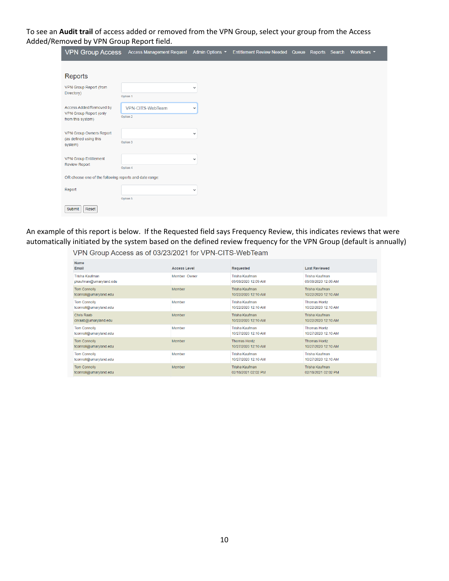To see an **Audit trail** of access added or removed from the VPN Group, select your group from the Access Added/Removed by VPN Group Report field.

| <b>VPN Group Access</b>                                | Access Management Request Admin Options ▼ |              | Entitlement Review Needed Queue Reports Search |  | Workflows <b>v</b> |
|--------------------------------------------------------|-------------------------------------------|--------------|------------------------------------------------|--|--------------------|
|                                                        |                                           |              |                                                |  |                    |
| Reports                                                |                                           |              |                                                |  |                    |
| VPN Group Report (from                                 |                                           | $\checkmark$ |                                                |  |                    |
| Directory)                                             | Option 1                                  |              |                                                |  |                    |
| Access Added/Removed by                                | VPN-CITS-WebTeam                          | $\checkmark$ |                                                |  |                    |
| VPN Group Report (only<br>from this system)            | Option 2                                  |              |                                                |  |                    |
| VPN Group Owners Report                                |                                           | $\checkmark$ |                                                |  |                    |
| (as defined using this<br>system)                      | Option 3                                  |              |                                                |  |                    |
|                                                        |                                           |              |                                                |  |                    |
| <b>VPN Group Entitlement</b><br><b>Review Report</b>   |                                           | $\checkmark$ |                                                |  |                    |
|                                                        | Option 4                                  |              |                                                |  |                    |
| OR choose one of the following reports and date range: |                                           |              |                                                |  |                    |
| Report                                                 |                                           | $\checkmark$ |                                                |  |                    |
|                                                        | Option 5                                  |              |                                                |  |                    |
| Reset<br>Submit                                        |                                           |              |                                                |  |                    |

An example of this report is below. If the Requested field says Frequency Review, this indicates reviews that were automatically initiated by the system based on the defined review frequency for the VPN Group (default is annually)

VPN Group Access as of 03/23/2021 for VPN-CITS-WebTeam

| <b>Name</b><br>Email   | <b>Access Level</b> | Requested             | <b>Last Reviewed</b>  |
|------------------------|---------------------|-----------------------|-----------------------|
| Trisha Kaufman         | Member Owner        | <b>Trisha Kaufman</b> | <b>Trisha Kaufman</b> |
| pkaufman@umaryland.edu |                     | 09/08/2020 12:09 AM   | 09/08/2020 12:09 AM   |
| <b>Tom Connolly</b>    | Member              | <b>Trisha Kaufman</b> | <b>Trisha Kaufman</b> |
| tconnoll@umaryland.edu |                     | 10/22/2020 12:10 AM   | 10/22/2020 12:10 AM   |
| <b>Tom Connolly</b>    | Member              | <b>Trisha Kaufman</b> | <b>Thomas Hontz</b>   |
| tconnoll@umaryland.edu |                     | 10/22/2020 12:10 AM   | 10/22/2020 12:10 AM   |
| Chris Raab             | Member              | <b>Trisha Kaufman</b> | <b>Trisha Kaufman</b> |
| cnraab@umaryland.edu   |                     | 10/22/2020 12:10 AM   | 10/22/2020 12:10 AM   |
| <b>Tom Connolly</b>    | Member              | Trisha Kaufman        | <b>Thomas Hontz</b>   |
| tconnoll@umaryland.edu |                     | 10/27/2020 12:10 AM   | 10/27/2020 12:10 AM   |
| <b>Tom Connolly</b>    | Member              | <b>Thomas Hontz</b>   | <b>Thomas Hontz</b>   |
| tconnoll@umaryland.edu |                     | 10/27/2020 12:10 AM   | 10/27/2020 12:10 AM   |
| <b>Tom Connolly</b>    | Member              | <b>Trisha Kaufman</b> | <b>Trisha Kaufman</b> |
| tconnoll@umaryland.edu |                     | 10/27/2020 12:10 AM   | 10/27/2020 12:10 AM   |
| <b>Tom Connolly</b>    | Member              | <b>Trisha Kaufman</b> | Trisha Kaufman        |
| tconnoll@umaryland.edu |                     | 02/18/2021 02:02 PM   | 02/18/2021 02:02 PM   |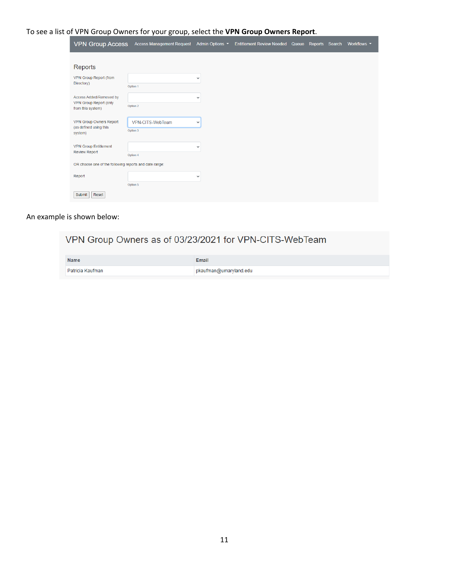## To see a list of VPN Group Owners for your group, select the **VPN Group Owners Report**.

| <b>VPN Group Access</b>                                | <b>Access Management Request</b> | Admin Options $\sim$ | <b>Entitlement Review Needed Queue</b> | Reports Search | Workflows $\sim$ |
|--------------------------------------------------------|----------------------------------|----------------------|----------------------------------------|----------------|------------------|
|                                                        |                                  |                      |                                        |                |                  |
| Reports                                                |                                  |                      |                                        |                |                  |
| VPN Group Report (from                                 |                                  | $\checkmark$         |                                        |                |                  |
| Directory)                                             | Option 1                         |                      |                                        |                |                  |
| Access Added/Removed by                                |                                  | $\checkmark$         |                                        |                |                  |
| VPN Group Report (only<br>from this system)            | Option 2                         |                      |                                        |                |                  |
| VPN Group Owners Report                                | VPN-CITS-WebTeam                 | $\checkmark$         |                                        |                |                  |
| (as defined using this<br>system)                      | Option 3                         |                      |                                        |                |                  |
| <b>VPN Group Entitlement</b>                           |                                  | $\checkmark$         |                                        |                |                  |
| <b>Review Report</b>                                   | Option 4                         |                      |                                        |                |                  |
| OR choose one of the following reports and date range: |                                  |                      |                                        |                |                  |
| Report                                                 |                                  | $\checkmark$         |                                        |                |                  |
|                                                        | Option 5                         |                      |                                        |                |                  |
| Reset<br>Submit                                        |                                  |                      |                                        |                |                  |

## An example is shown below:

| VPN Group Owners as of 03/23/2021 for VPN-CITS-WebTeam |                        |  |  |  |  |
|--------------------------------------------------------|------------------------|--|--|--|--|
| <b>Name</b>                                            | Email                  |  |  |  |  |
| Patricia Kaufman                                       | pkaufman@umaryland.edu |  |  |  |  |
|                                                        |                        |  |  |  |  |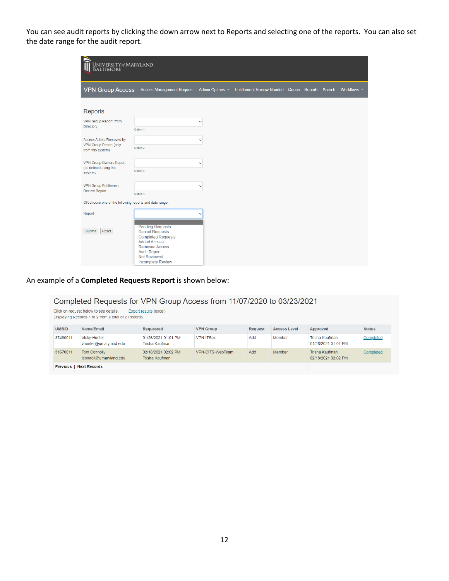You can see audit reports by clicking the down arrow next to Reports and selecting one of the reports. You can also set the date range for the audit report.

| University of Maryland<br>Baltimore                                    |                                                                                                                                                                                            |                 |                                  |       |                |                    |
|------------------------------------------------------------------------|--------------------------------------------------------------------------------------------------------------------------------------------------------------------------------------------|-----------------|----------------------------------|-------|----------------|--------------------|
| <b>VPN Group Access</b>                                                | <b>Access Management Request</b>                                                                                                                                                           | Admin Options - | <b>Entitlement Review Needed</b> | Queue | Reports Search | Workflows <b>-</b> |
| Reports                                                                |                                                                                                                                                                                            |                 |                                  |       |                |                    |
| VPN Group Report (from<br>Directory)                                   | Option 1                                                                                                                                                                                   | $\checkmark$    |                                  |       |                |                    |
| Access Added/Removed by<br>VPN Group Report (only<br>from this system) | Option 2                                                                                                                                                                                   | $\checkmark$    |                                  |       |                |                    |
| VPN Group Owners Report<br>(as defined using this<br>system)           | Option 3                                                                                                                                                                                   | $\checkmark$    |                                  |       |                |                    |
| <b>VPN Group Entitlement</b><br><b>Review Report</b>                   | Option 4                                                                                                                                                                                   | $\checkmark$    |                                  |       |                |                    |
| OR choose one of the following reports and date range:                 |                                                                                                                                                                                            |                 |                                  |       |                |                    |
| Report<br>Submit<br>Reset                                              | <b>Pending Requests</b><br><b>Denied Requests</b><br><b>Completed Requests</b><br><b>Added Access</b><br><b>Removed Access</b><br><b>Audit Report</b><br>Not Reviewed<br>Incomplete Review | $\checkmark$    |                                  |       |                |                    |

# An example of a **Completed Requests Report** is shown below:

| Completed Requests for VPN Group Access from 11/07/2020 to 03/23/2021<br>Click on request below to see details.<br><b>Export results (excel)</b><br>Displaying Records 1 to 2 from a total of 2 Records. |                                               |                                       |                  |                |                     |                                       |               |  |
|----------------------------------------------------------------------------------------------------------------------------------------------------------------------------------------------------------|-----------------------------------------------|---------------------------------------|------------------|----------------|---------------------|---------------------------------------|---------------|--|
| <b>UMBID</b>                                                                                                                                                                                             | Name/Email                                    | <b>Requested</b>                      | <b>VPN Group</b> | <b>Request</b> | <b>Access Level</b> | Approved                              | <b>Status</b> |  |
| 37460011                                                                                                                                                                                                 | <b>Vicky Hunter</b><br>vhunter@umaryland.edu  | 01/26/2021 01:01 PM<br>Trisha Kaufman | <b>VPN-ITSec</b> | Add            | Member              | Trisha Kaufman<br>01/26/2021 01:01 PM | Completed     |  |
| 31670011                                                                                                                                                                                                 | <b>Tom Connolly</b><br>tconnoll@umaryland.edu | 02/18/2021 02:02 PM<br>Trisha Kaufman | VPN-CITS-WebTeam | Add            | Member              | Trisha Kaufman<br>02/18/2021 02:02 PM | Completed     |  |
|                                                                                                                                                                                                          | <b>Previous   Next Records</b>                |                                       |                  |                |                     |                                       |               |  |